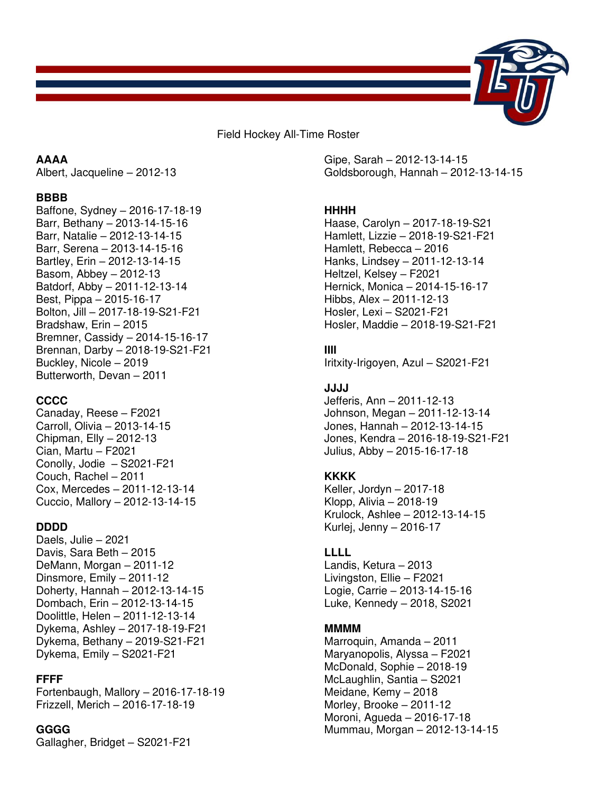

Field Hockey All-Time Roster

## **AAAA**

Albert, Jacqueline – 2012-13

#### **BBBB**

Baffone, Sydney – 2016-17-18-19 Barr, Bethany – 2013-14-15-16 Barr, Natalie – 2012-13-14-15 Barr, Serena – 2013-14-15-16 Bartley, Erin – 2012-13-14-15 Basom, Abbey – 2012-13 Batdorf, Abby – 2011-12-13-14 Best, Pippa – 2015-16-17 Bolton, Jill – 2017-18-19-S21-F21 Bradshaw, Erin – 2015 Bremner, Cassidy – 2014-15-16-17 Brennan, Darby – 2018-19-S21-F21 Buckley, Nicole – 2019 Butterworth, Devan – 2011

### **CCCC**

Canaday, Reese – F2021 Carroll, Olivia – 2013-14-15 Chipman, Elly – 2012-13 Cian, Martu – F2021 Conolly, Jodie – S2021-F21 Couch, Rachel – 2011 Cox, Mercedes – 2011-12-13-14 Cuccio, Mallory – 2012-13-14-15

### **DDDD**

Daels, Julie – 2021 Davis, Sara Beth – 2015 DeMann, Morgan – 2011-12 Dinsmore, Emily – 2011-12 Doherty, Hannah – 2012-13-14-15 Dombach, Erin – 2012-13-14-15 Doolittle, Helen – 2011-12-13-14 Dykema, Ashley – 2017-18-19-F21 Dykema, Bethany – 2019-S21-F21 Dykema, Emily – S2021-F21

#### **FFFF**

Fortenbaugh, Mallory – 2016-17-18-19 Frizzell, Merich – 2016-17-18-19

#### **GGGG**

Gallagher, Bridget – S2021-F21

Gipe, Sarah – 2012-13-14-15 Goldsborough, Hannah – 2012-13-14-15

### **HHHH**

Haase, Carolyn – 2017-18-19-S21 Hamlett, Lizzie – 2018-19-S21-F21 Hamlett, Rebecca – 2016 Hanks, Lindsey – 2011-12-13-14 Heltzel, Kelsey – F2021 Hernick, Monica – 2014-15-16-17 Hibbs, Alex – 2011-12-13 Hosler, Lexi – S2021-F21 Hosler, Maddie – 2018-19-S21-F21

### **IIII**

Iritxity-Irigoyen, Azul – S2021-F21

### **JJJJ**

Jefferis, Ann – 2011-12-13 Johnson, Megan – 2011-12-13-14 Jones, Hannah – 2012-13-14-15 Jones, Kendra – 2016-18-19-S21-F21 Julius, Abby – 2015-16-17-18

### **KKKK**

Keller, Jordyn – 2017-18 Klopp, Alivia – 2018-19 Krulock, Ashlee – 2012-13-14-15 Kurlej, Jenny – 2016-17

### **LLLL**

Landis, Ketura – 2013 Livingston, Ellie – F2021 Logie, Carrie – 2013-14-15-16 Luke, Kennedy – 2018, S2021

### **MMMM**

Marroquin, Amanda – 2011 Maryanopolis, Alyssa – F2021 McDonald, Sophie – 2018-19 McLaughlin, Santia – S2021 Meidane, Kemy – 2018 Morley, Brooke – 2011-12 Moroni, Agueda – 2016-17-18 Mummau, Morgan – 2012-13-14-15